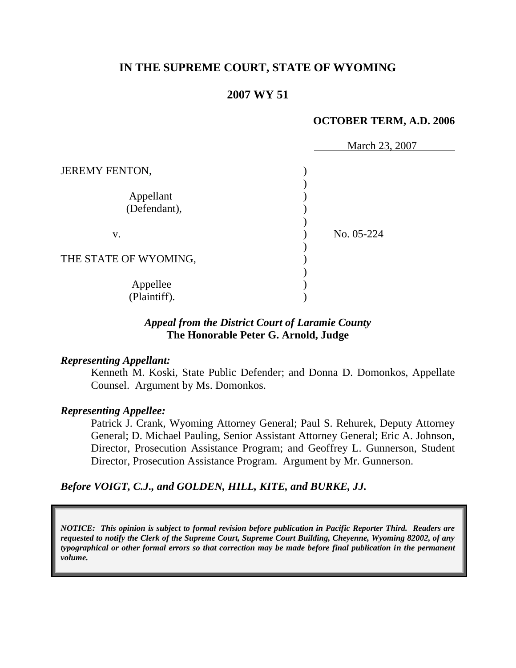# **IN THE SUPREME COURT, STATE OF WYOMING**

# **2007 WY 51**

### **OCTOBER TERM, A.D. 2006**

|                           | March 23, 2007 |
|---------------------------|----------------|
| <b>JEREMY FENTON,</b>     |                |
| Appellant<br>(Defendant), |                |
| V.                        | No. 05-224     |
| THE STATE OF WYOMING,     |                |
| Appellee<br>(Plaintiff).  |                |

# *Appeal from the District Court of Laramie County* **The Honorable Peter G. Arnold, Judge**

#### *Representing Appellant:*

Kenneth M. Koski, State Public Defender; and Donna D. Domonkos, Appellate Counsel. Argument by Ms. Domonkos.

#### *Representing Appellee:*

Patrick J. Crank, Wyoming Attorney General; Paul S. Rehurek, Deputy Attorney General; D. Michael Pauling, Senior Assistant Attorney General; Eric A. Johnson, Director, Prosecution Assistance Program; and Geoffrey L. Gunnerson, Student Director, Prosecution Assistance Program. Argument by Mr. Gunnerson.

# *Before VOIGT, C.J., and GOLDEN, HILL, KITE, and BURKE, JJ.*

*NOTICE: This opinion is subject to formal revision before publication in Pacific Reporter Third. Readers are requested to notify the Clerk of the Supreme Court, Supreme Court Building, Cheyenne, Wyoming 82002, of any typographical or other formal errors so that correction may be made before final publication in the permanent volume.*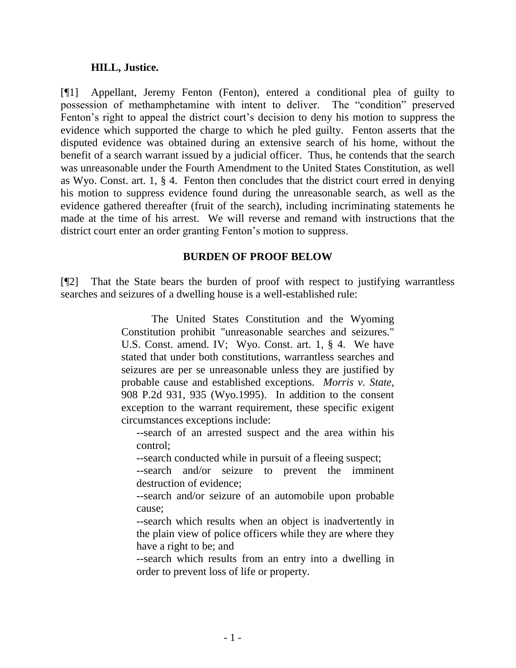### **HILL, Justice.**

[¶1] Appellant, Jeremy Fenton (Fenton), entered a conditional plea of guilty to possession of methamphetamine with intent to deliver. The "condition" preserved Fenton's right to appeal the district court's decision to deny his motion to suppress the evidence which supported the charge to which he pled guilty. Fenton asserts that the disputed evidence was obtained during an extensive search of his home, without the benefit of a search warrant issued by a judicial officer. Thus, he contends that the search was unreasonable under the Fourth Amendment to the United States Constitution, as well as Wyo. Const. art. 1, § 4. Fenton then concludes that the district court erred in denying his motion to suppress evidence found during the unreasonable search, as well as the evidence gathered thereafter (fruit of the search), including incriminating statements he made at the time of his arrest. We will reverse and remand with instructions that the district court enter an order granting Fenton"s motion to suppress.

### **BURDEN OF PROOF BELOW**

[¶2] That the State bears the burden of proof with respect to justifying warrantless searches and seizures of a dwelling house is a well-established rule:

> The United States Constitution and the Wyoming Constitution prohibit "unreasonable searches and seizures." U.S. Const. amend. IV; Wyo. Const. art. 1, § 4. We have stated that under both constitutions, warrantless searches and seizures are per se unreasonable unless they are justified by probable cause and established exceptions. *Morris v. State*, 908 P.2d 931, 935 (Wyo.1995). In addition to the consent exception to the warrant requirement, these specific exigent circumstances exceptions include:

--search of an arrested suspect and the area within his control;

--search conducted while in pursuit of a fleeing suspect;

--search and/or seizure to prevent the imminent destruction of evidence;

--search and/or seizure of an automobile upon probable cause;

--search which results when an object is inadvertently in the plain view of police officers while they are where they have a right to be; and

--search which results from an entry into a dwelling in order to prevent loss of life or property.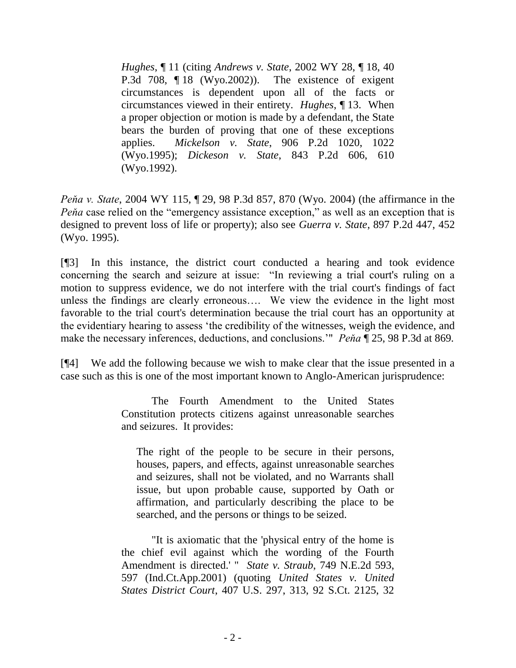*Hughes*, ¶ 11 (citing *Andrews v. State*, 2002 WY 28, ¶ 18, 40 P.3d 708, ¶ 18 (Wyo.2002)). The existence of exigent circumstances is dependent upon all of the facts or circumstances viewed in their entirety. *Hughes*, ¶ 13. When a proper objection or motion is made by a defendant, the State bears the burden of proving that one of these exceptions applies. *Mickelson v. State*, 906 P.2d 1020, 1022 (Wyo.1995); *Dickeson v. State*, 843 P.2d 606, 610 (Wyo.1992).

*Peňa v. State*, 2004 WY 115, ¶ 29, 98 P.3d 857, 870 (Wyo. 2004) (the affirmance in the *Peňa* case relied on the "emergency assistance exception," as well as an exception that is designed to prevent loss of life or property); also see *Guerra v. State*, 897 P.2d 447, 452 (Wyo. 1995).

[¶3] In this instance, the district court conducted a hearing and took evidence concerning the search and seizure at issue: "In reviewing a trial court's ruling on a motion to suppress evidence, we do not interfere with the trial court's findings of fact unless the findings are clearly erroneous…. We view the evidence in the light most favorable to the trial court's determination because the trial court has an opportunity at the evidentiary hearing to assess "the credibility of the witnesses, weigh the evidence, and make the necessary inferences, deductions, and conclusions."" *Peňa* ¶ 25, 98 P.3d at 869*.*

[¶4] We add the following because we wish to make clear that the issue presented in a case such as this is one of the most important known to Anglo-American jurisprudence:

> The Fourth Amendment to the United States Constitution protects citizens against unreasonable searches and seizures. It provides:

The right of the people to be secure in their persons, houses, papers, and effects, against unreasonable searches and seizures, shall not be violated, and no Warrants shall issue, but upon probable cause, supported by Oath or affirmation, and particularly describing the place to be searched, and the persons or things to be seized.

"It is axiomatic that the 'physical entry of the home is the chief evil against which the wording of the Fourth Amendment is directed.' " *State v. Straub*, 749 N.E.2d 593, 597 (Ind.Ct.App.2001) (quoting *United States v. United States District Court*, 407 U.S. 297, 313, 92 S.Ct. 2125, 32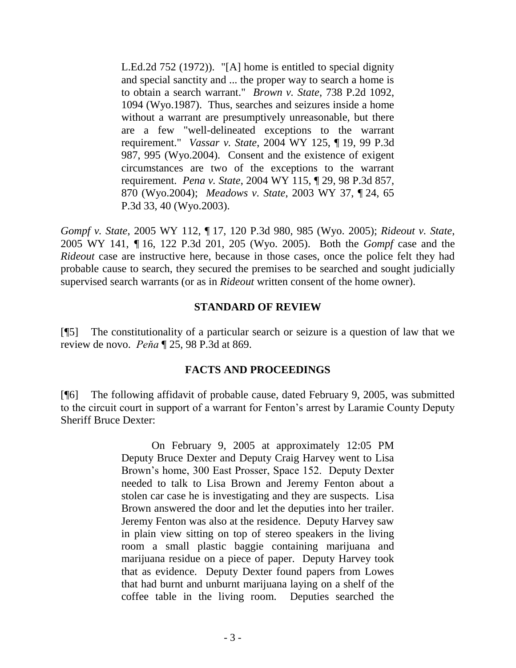L.Ed.2d 752 (1972)). "[A] home is entitled to special dignity and special sanctity and ... the proper way to search a home is to obtain a search warrant." *Brown v. State*, 738 P.2d 1092, 1094 (Wyo.1987). Thus, searches and seizures inside a home without a warrant are presumptively unreasonable, but there are a few "well-delineated exceptions to the warrant requirement." *Vassar v. State*, 2004 WY 125, ¶ 19, 99 P.3d 987, 995 (Wyo.2004). Consent and the existence of exigent circumstances are two of the exceptions to the warrant requirement. *Pena v. State*, 2004 WY 115, ¶ 29, 98 P.3d 857, 870 (Wyo.2004); *Meadows v. State*, 2003 WY 37, ¶ 24, 65 P.3d 33, 40 (Wyo.2003).

*Gompf v. State*, 2005 WY 112, ¶ 17, 120 P.3d 980, 985 (Wyo. 2005); *Rideout v. State*, 2005 WY 141, *¶* 16, 122 P.3d 201, 205 (Wyo. 2005). Both the *Gompf* case and the *Rideout* case are instructive here, because in those cases, once the police felt they had probable cause to search, they secured the premises to be searched and sought judicially supervised search warrants (or as in *Rideout* written consent of the home owner).

### **STANDARD OF REVIEW**

[¶5] The constitutionality of a particular search or seizure is a question of law that we review de novo. *Peňa* ¶ 25, 98 P.3d at 869.

### **FACTS AND PROCEEDINGS**

[¶6] The following affidavit of probable cause, dated February 9, 2005, was submitted to the circuit court in support of a warrant for Fenton"s arrest by Laramie County Deputy Sheriff Bruce Dexter:

> On February 9, 2005 at approximately 12:05 PM Deputy Bruce Dexter and Deputy Craig Harvey went to Lisa Brown"s home, 300 East Prosser, Space 152. Deputy Dexter needed to talk to Lisa Brown and Jeremy Fenton about a stolen car case he is investigating and they are suspects. Lisa Brown answered the door and let the deputies into her trailer. Jeremy Fenton was also at the residence. Deputy Harvey saw in plain view sitting on top of stereo speakers in the living room a small plastic baggie containing marijuana and marijuana residue on a piece of paper. Deputy Harvey took that as evidence. Deputy Dexter found papers from Lowes that had burnt and unburnt marijuana laying on a shelf of the coffee table in the living room. Deputies searched the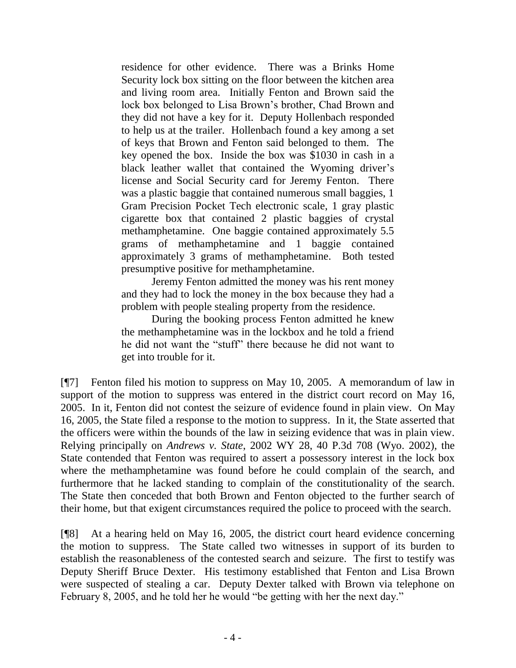residence for other evidence. There was a Brinks Home Security lock box sitting on the floor between the kitchen area and living room area. Initially Fenton and Brown said the lock box belonged to Lisa Brown"s brother, Chad Brown and they did not have a key for it. Deputy Hollenbach responded to help us at the trailer. Hollenbach found a key among a set of keys that Brown and Fenton said belonged to them. The key opened the box. Inside the box was \$1030 in cash in a black leather wallet that contained the Wyoming driver's license and Social Security card for Jeremy Fenton. There was a plastic baggie that contained numerous small baggies, 1 Gram Precision Pocket Tech electronic scale, 1 gray plastic cigarette box that contained 2 plastic baggies of crystal methamphetamine. One baggie contained approximately 5.5 grams of methamphetamine and 1 baggie contained approximately 3 grams of methamphetamine. Both tested presumptive positive for methamphetamine.

Jeremy Fenton admitted the money was his rent money and they had to lock the money in the box because they had a problem with people stealing property from the residence.

During the booking process Fenton admitted he knew the methamphetamine was in the lockbox and he told a friend he did not want the "stuff" there because he did not want to get into trouble for it.

[¶7] Fenton filed his motion to suppress on May 10, 2005. A memorandum of law in support of the motion to suppress was entered in the district court record on May 16, 2005. In it, Fenton did not contest the seizure of evidence found in plain view. On May 16, 2005, the State filed a response to the motion to suppress. In it, the State asserted that the officers were within the bounds of the law in seizing evidence that was in plain view. Relying principally on *Andrews v. State*, 2002 WY 28, 40 P.3d 708 (Wyo. 2002), the State contended that Fenton was required to assert a possessory interest in the lock box where the methamphetamine was found before he could complain of the search, and furthermore that he lacked standing to complain of the constitutionality of the search. The State then conceded that both Brown and Fenton objected to the further search of their home, but that exigent circumstances required the police to proceed with the search.

[¶8] At a hearing held on May 16, 2005, the district court heard evidence concerning the motion to suppress. The State called two witnesses in support of its burden to establish the reasonableness of the contested search and seizure. The first to testify was Deputy Sheriff Bruce Dexter. His testimony established that Fenton and Lisa Brown were suspected of stealing a car. Deputy Dexter talked with Brown via telephone on February 8, 2005, and he told her he would "be getting with her the next day."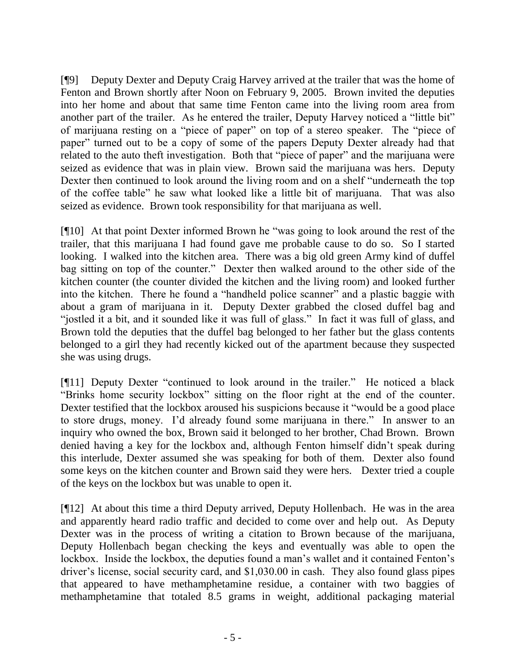[¶9] Deputy Dexter and Deputy Craig Harvey arrived at the trailer that was the home of Fenton and Brown shortly after Noon on February 9, 2005. Brown invited the deputies into her home and about that same time Fenton came into the living room area from another part of the trailer. As he entered the trailer, Deputy Harvey noticed a "little bit" of marijuana resting on a "piece of paper" on top of a stereo speaker. The "piece of paper" turned out to be a copy of some of the papers Deputy Dexter already had that related to the auto theft investigation. Both that "piece of paper" and the marijuana were seized as evidence that was in plain view. Brown said the marijuana was hers. Deputy Dexter then continued to look around the living room and on a shelf "underneath the top of the coffee table" he saw what looked like a little bit of marijuana. That was also seized as evidence. Brown took responsibility for that marijuana as well.

[¶10] At that point Dexter informed Brown he "was going to look around the rest of the trailer, that this marijuana I had found gave me probable cause to do so. So I started looking. I walked into the kitchen area. There was a big old green Army kind of duffel bag sitting on top of the counter." Dexter then walked around to the other side of the kitchen counter (the counter divided the kitchen and the living room) and looked further into the kitchen. There he found a "handheld police scanner" and a plastic baggie with about a gram of marijuana in it. Deputy Dexter grabbed the closed duffel bag and "jostled it a bit, and it sounded like it was full of glass." In fact it was full of glass, and Brown told the deputies that the duffel bag belonged to her father but the glass contents belonged to a girl they had recently kicked out of the apartment because they suspected she was using drugs.

[¶11] Deputy Dexter "continued to look around in the trailer." He noticed a black "Brinks home security lockbox" sitting on the floor right at the end of the counter. Dexter testified that the lockbox aroused his suspicions because it "would be a good place to store drugs, money. I"d already found some marijuana in there." In answer to an inquiry who owned the box, Brown said it belonged to her brother, Chad Brown. Brown denied having a key for the lockbox and, although Fenton himself didn"t speak during this interlude, Dexter assumed she was speaking for both of them. Dexter also found some keys on the kitchen counter and Brown said they were hers. Dexter tried a couple of the keys on the lockbox but was unable to open it.

[¶12] At about this time a third Deputy arrived, Deputy Hollenbach. He was in the area and apparently heard radio traffic and decided to come over and help out. As Deputy Dexter was in the process of writing a citation to Brown because of the marijuana, Deputy Hollenbach began checking the keys and eventually was able to open the lockbox. Inside the lockbox, the deputies found a man's wallet and it contained Fenton's driver"s license, social security card, and \$1,030.00 in cash. They also found glass pipes that appeared to have methamphetamine residue, a container with two baggies of methamphetamine that totaled 8.5 grams in weight, additional packaging material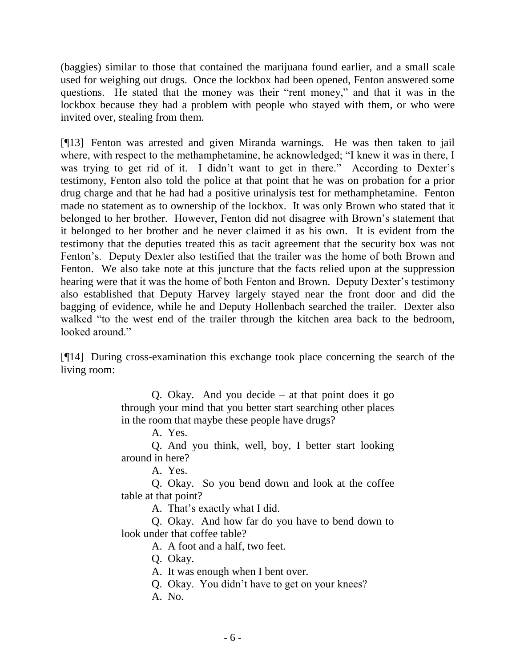(baggies) similar to those that contained the marijuana found earlier, and a small scale used for weighing out drugs. Once the lockbox had been opened, Fenton answered some questions. He stated that the money was their "rent money," and that it was in the lockbox because they had a problem with people who stayed with them, or who were invited over, stealing from them.

[¶13] Fenton was arrested and given Miranda warnings. He was then taken to jail where, with respect to the methamphetamine, he acknowledged; "I knew it was in there, I was trying to get rid of it. I didn't want to get in there." According to Dexter's testimony, Fenton also told the police at that point that he was on probation for a prior drug charge and that he had had a positive urinalysis test for methamphetamine. Fenton made no statement as to ownership of the lockbox. It was only Brown who stated that it belonged to her brother. However, Fenton did not disagree with Brown"s statement that it belonged to her brother and he never claimed it as his own. It is evident from the testimony that the deputies treated this as tacit agreement that the security box was not Fenton"s. Deputy Dexter also testified that the trailer was the home of both Brown and Fenton. We also take note at this juncture that the facts relied upon at the suppression hearing were that it was the home of both Fenton and Brown. Deputy Dexter's testimony also established that Deputy Harvey largely stayed near the front door and did the bagging of evidence, while he and Deputy Hollenbach searched the trailer. Dexter also walked "to the west end of the trailer through the kitchen area back to the bedroom, looked around."

[¶14] During cross-examination this exchange took place concerning the search of the living room:

> Q. Okay. And you decide – at that point does it go through your mind that you better start searching other places in the room that maybe these people have drugs?

> > A. Yes.

Q. And you think, well, boy, I better start looking around in here?

A. Yes.

Q. Okay. So you bend down and look at the coffee table at that point?

A. That"s exactly what I did.

Q. Okay. And how far do you have to bend down to look under that coffee table?

A. A foot and a half, two feet.

Q. Okay.

A. It was enough when I bent over.

Q. Okay. You didn"t have to get on your knees?

A. No.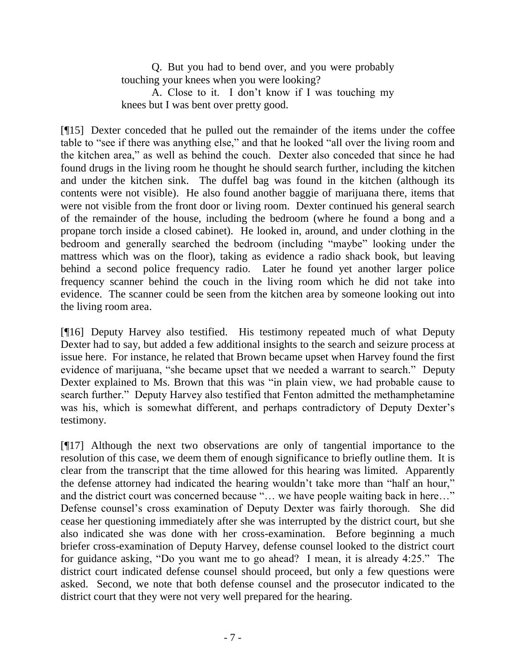Q. But you had to bend over, and you were probably touching your knees when you were looking?

A. Close to it. I don"t know if I was touching my knees but I was bent over pretty good.

[¶15] Dexter conceded that he pulled out the remainder of the items under the coffee table to "see if there was anything else," and that he looked "all over the living room and the kitchen area," as well as behind the couch. Dexter also conceded that since he had found drugs in the living room he thought he should search further, including the kitchen and under the kitchen sink. The duffel bag was found in the kitchen (although its contents were not visible). He also found another baggie of marijuana there, items that were not visible from the front door or living room. Dexter continued his general search of the remainder of the house, including the bedroom (where he found a bong and a propane torch inside a closed cabinet). He looked in, around, and under clothing in the bedroom and generally searched the bedroom (including "maybe" looking under the mattress which was on the floor), taking as evidence a radio shack book, but leaving behind a second police frequency radio. Later he found yet another larger police frequency scanner behind the couch in the living room which he did not take into evidence. The scanner could be seen from the kitchen area by someone looking out into the living room area.

[¶16] Deputy Harvey also testified. His testimony repeated much of what Deputy Dexter had to say, but added a few additional insights to the search and seizure process at issue here. For instance, he related that Brown became upset when Harvey found the first evidence of marijuana, "she became upset that we needed a warrant to search." Deputy Dexter explained to Ms. Brown that this was "in plain view, we had probable cause to search further." Deputy Harvey also testified that Fenton admitted the methamphetamine was his, which is somewhat different, and perhaps contradictory of Deputy Dexter's testimony.

[¶17] Although the next two observations are only of tangential importance to the resolution of this case, we deem them of enough significance to briefly outline them. It is clear from the transcript that the time allowed for this hearing was limited. Apparently the defense attorney had indicated the hearing wouldn"t take more than "half an hour," and the district court was concerned because "... we have people waiting back in here..." Defense counsel"s cross examination of Deputy Dexter was fairly thorough. She did cease her questioning immediately after she was interrupted by the district court, but she also indicated she was done with her cross-examination. Before beginning a much briefer cross-examination of Deputy Harvey, defense counsel looked to the district court for guidance asking, "Do you want me to go ahead? I mean, it is already 4:25." The district court indicated defense counsel should proceed, but only a few questions were asked. Second, we note that both defense counsel and the prosecutor indicated to the district court that they were not very well prepared for the hearing.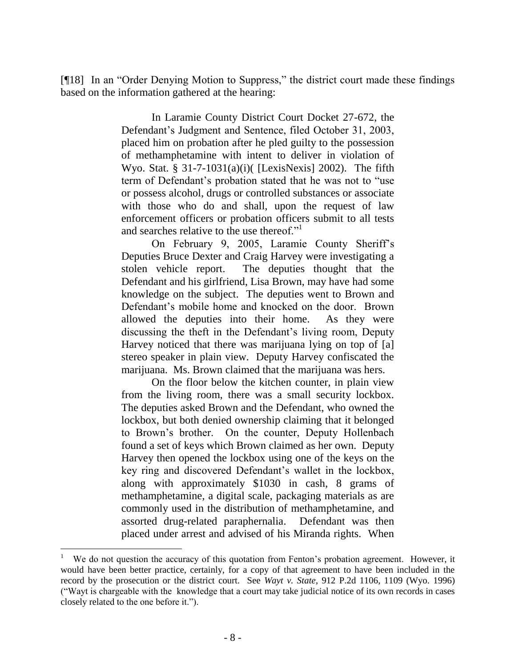[¶18] In an "Order Denying Motion to Suppress," the district court made these findings based on the information gathered at the hearing:

> In Laramie County District Court Docket 27-672, the Defendant"s Judgment and Sentence, filed October 31, 2003, placed him on probation after he pled guilty to the possession of methamphetamine with intent to deliver in violation of Wyo. Stat. §  $31-7-1031(a)(i)$  [LexisNexis] 2002). The fifth term of Defendant's probation stated that he was not to "use or possess alcohol, drugs or controlled substances or associate with those who do and shall, upon the request of law enforcement officers or probation officers submit to all tests and searches relative to the use thereof."

> On February 9, 2005, Laramie County Sheriff"s Deputies Bruce Dexter and Craig Harvey were investigating a stolen vehicle report. The deputies thought that the Defendant and his girlfriend, Lisa Brown, may have had some knowledge on the subject. The deputies went to Brown and Defendant's mobile home and knocked on the door. Brown allowed the deputies into their home. As they were discussing the theft in the Defendant's living room, Deputy Harvey noticed that there was marijuana lying on top of [a] stereo speaker in plain view. Deputy Harvey confiscated the marijuana. Ms. Brown claimed that the marijuana was hers.

> On the floor below the kitchen counter, in plain view from the living room, there was a small security lockbox. The deputies asked Brown and the Defendant, who owned the lockbox, but both denied ownership claiming that it belonged to Brown"s brother. On the counter, Deputy Hollenbach found a set of keys which Brown claimed as her own. Deputy Harvey then opened the lockbox using one of the keys on the key ring and discovered Defendant"s wallet in the lockbox, along with approximately \$1030 in cash, 8 grams of methamphetamine, a digital scale, packaging materials as are commonly used in the distribution of methamphetamine, and assorted drug-related paraphernalia. Defendant was then placed under arrest and advised of his Miranda rights. When

<sup>1</sup> We do not question the accuracy of this quotation from Fenton's probation agreement. However, it would have been better practice, certainly, for a copy of that agreement to have been included in the record by the prosecution or the district court. See *Wayt v. State*, 912 P.2d 1106, 1109 (Wyo. 1996) ("Wayt is chargeable with the knowledge that a court may take judicial notice of its own records in cases closely related to the one before it.").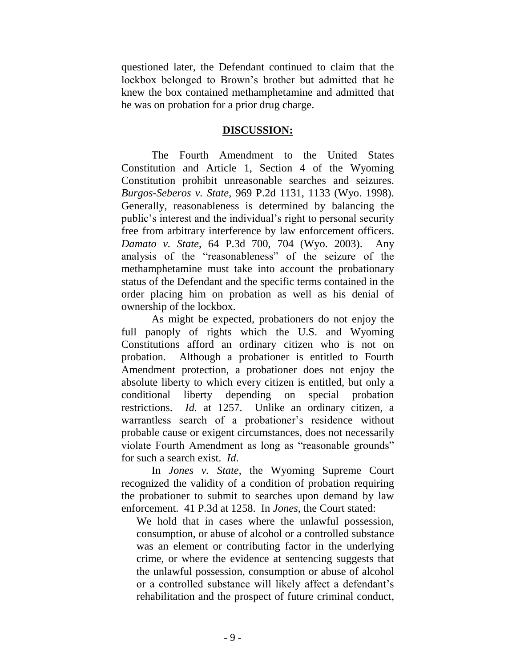questioned later, the Defendant continued to claim that the lockbox belonged to Brown"s brother but admitted that he knew the box contained methamphetamine and admitted that he was on probation for a prior drug charge.

### **DISCUSSION:**

The Fourth Amendment to the United States Constitution and Article 1, Section 4 of the Wyoming Constitution prohibit unreasonable searches and seizures. *Burgos-Seberos v. State*, 969 P.2d 1131, 1133 (Wyo. 1998). Generally, reasonableness is determined by balancing the public"s interest and the individual"s right to personal security free from arbitrary interference by law enforcement officers. *Damato v. State*, 64 P.3d 700, 704 (Wyo. 2003). Any analysis of the "reasonableness" of the seizure of the methamphetamine must take into account the probationary status of the Defendant and the specific terms contained in the order placing him on probation as well as his denial of ownership of the lockbox.

As might be expected, probationers do not enjoy the full panoply of rights which the U.S. and Wyoming Constitutions afford an ordinary citizen who is not on probation. Although a probationer is entitled to Fourth Amendment protection, a probationer does not enjoy the absolute liberty to which every citizen is entitled, but only a conditional liberty depending on special probation restrictions. *Id.* at 1257. Unlike an ordinary citizen, a warrantless search of a probationer's residence without probable cause or exigent circumstances, does not necessarily violate Fourth Amendment as long as "reasonable grounds" for such a search exist. *Id*.

In *Jones v. State*, the Wyoming Supreme Court recognized the validity of a condition of probation requiring the probationer to submit to searches upon demand by law enforcement. 41 P.3d at 1258. In *Jones*, the Court stated:

We hold that in cases where the unlawful possession, consumption, or abuse of alcohol or a controlled substance was an element or contributing factor in the underlying crime, or where the evidence at sentencing suggests that the unlawful possession, consumption or abuse of alcohol or a controlled substance will likely affect a defendant"s rehabilitation and the prospect of future criminal conduct,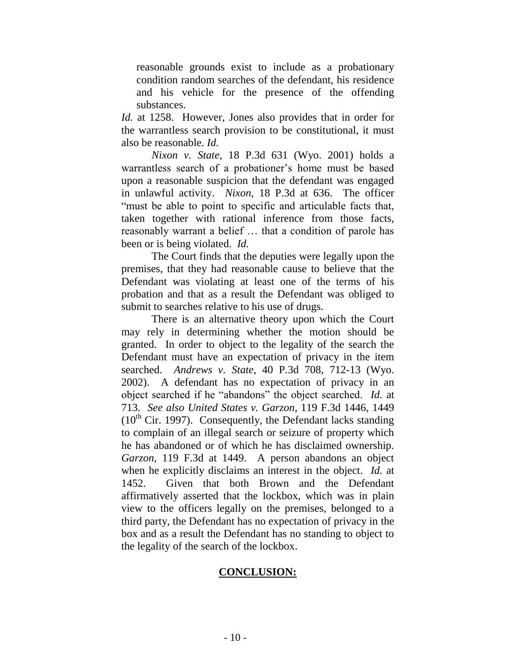reasonable grounds exist to include as a probationary condition random searches of the defendant, his residence and his vehicle for the presence of the offending substances.

*Id.* at 1258. However, Jones also provides that in order for the warrantless search provision to be constitutional, it must also be reasonable. *Id.*

*Nixon v. State*, 18 P.3d 631 (Wyo. 2001) holds a warrantless search of a probationer"s home must be based upon a reasonable suspicion that the defendant was engaged in unlawful activity. *Nixon*, 18 P.3d at 636. The officer "must be able to point to specific and articulable facts that, taken together with rational inference from those facts, reasonably warrant a belief … that a condition of parole has been or is being violated. *Id.*

The Court finds that the deputies were legally upon the premises, that they had reasonable cause to believe that the Defendant was violating at least one of the terms of his probation and that as a result the Defendant was obliged to submit to searches relative to his use of drugs.

There is an alternative theory upon which the Court may rely in determining whether the motion should be granted. In order to object to the legality of the search the Defendant must have an expectation of privacy in the item searched. *Andrews v. State*, 40 P.3d 708, 712-13 (Wyo. 2002). A defendant has no expectation of privacy in an object searched if he "abandons" the object searched. *Id.* at 713. *See also United States v. Garzon*, 119 F.3d 1446, 1449  $(10<sup>th</sup>$  Cir. 1997). Consequently, the Defendant lacks standing to complain of an illegal search or seizure of property which he has abandoned or of which he has disclaimed ownership. *Garzon*, 119 F.3d at 1449. A person abandons an object when he explicitly disclaims an interest in the object. *Id.* at 1452. Given that both Brown and the Defendant affirmatively asserted that the lockbox, which was in plain view to the officers legally on the premises, belonged to a third party, the Defendant has no expectation of privacy in the box and as a result the Defendant has no standing to object to the legality of the search of the lockbox.

# **CONCLUSION:**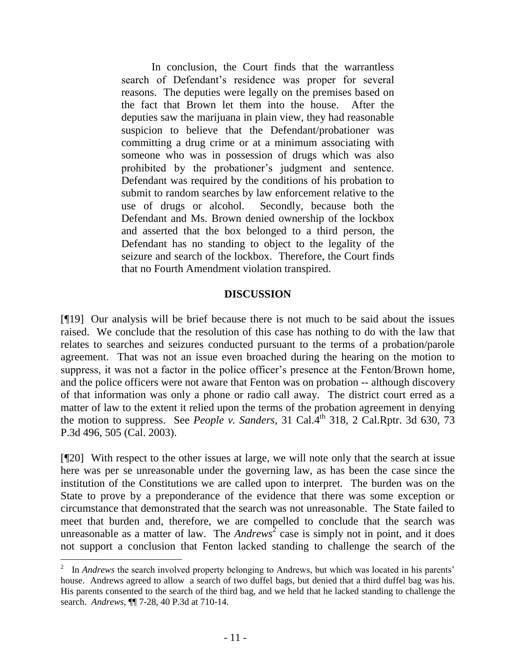In conclusion, the Court finds that the warrantless search of Defendant's residence was proper for several reasons. The deputies were legally on the premises based on the fact that Brown let them into the house. After the deputies saw the marijuana in plain view, they had reasonable suspicion to believe that the Defendant/probationer was committing a drug crime or at a minimum associating with someone who was in possession of drugs which was also prohibited by the probationer"s judgment and sentence. Defendant was required by the conditions of his probation to submit to random searches by law enforcement relative to the use of drugs or alcohol. Secondly, because both the Defendant and Ms. Brown denied ownership of the lockbox and asserted that the box belonged to a third person, the Defendant has no standing to object to the legality of the seizure and search of the lockbox. Therefore, the Court finds that no Fourth Amendment violation transpired.

### **DISCUSSION**

[¶19] Our analysis will be brief because there is not much to be said about the issues raised. We conclude that the resolution of this case has nothing to do with the law that relates to searches and seizures conducted pursuant to the terms of a probation/parole agreement. That was not an issue even broached during the hearing on the motion to suppress, it was not a factor in the police officer's presence at the Fenton/Brown home, and the police officers were not aware that Fenton was on probation -- although discovery of that information was only a phone or radio call away. The district court erred as a matter of law to the extent it relied upon the terms of the probation agreement in denying the motion to suppress. See *People v. Sanders*, 31 Cal.<sup>4th</sup> 318, 2 Cal.Rptr. 3d 630, 73 P.3d 496, 505 (Cal. 2003).

[¶20] With respect to the other issues at large, we will note only that the search at issue here was per se unreasonable under the governing law, as has been the case since the institution of the Constitutions we are called upon to interpret. The burden was on the State to prove by a preponderance of the evidence that there was some exception or circumstance that demonstrated that the search was not unreasonable. The State failed to meet that burden and, therefore, we are compelled to conclude that the search was unreasonable as a matter of law. The *Andrews*<sup>2</sup> case is simply not in point, and it does not support a conclusion that Fenton lacked standing to challenge the search of the

<sup>2</sup> In *Andrews* the search involved property belonging to Andrews, but which was located in his parents' house. Andrews agreed to allow a search of two duffel bags, but denied that a third duffel bag was his. His parents consented to the search of the third bag, and we held that he lacked standing to challenge the search. *Andrews*, ¶¶ 7-28, 40 P.3d at 710-14.